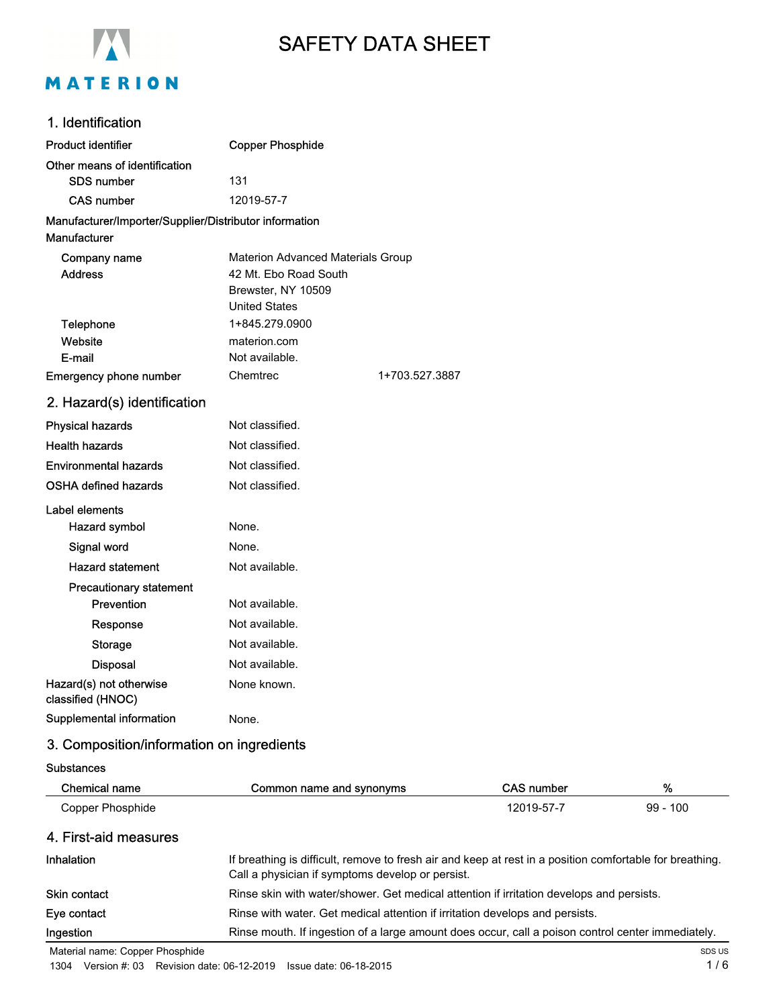

# SAFETY DATA SHEET

# 1. Identification

| <b>Product identifier</b>                              | <b>Copper Phosphide</b>           |                |
|--------------------------------------------------------|-----------------------------------|----------------|
| Other means of identification                          |                                   |                |
| SDS number                                             | 131                               |                |
| <b>CAS number</b>                                      | 12019-57-7                        |                |
| Manufacturer/Importer/Supplier/Distributor information |                                   |                |
| Manufacturer                                           |                                   |                |
| Company name                                           | Materion Advanced Materials Group |                |
| <b>Address</b>                                         | 42 Mt. Ebo Road South             |                |
|                                                        | Brewster, NY 10509                |                |
|                                                        | <b>United States</b>              |                |
| <b>Telephone</b>                                       | 1+845.279.0900                    |                |
| Website                                                | materion.com                      |                |
| E-mail                                                 | Not available.                    |                |
| <b>Emergency phone number</b>                          | Chemtrec                          | 1+703.527.3887 |
| 2. Hazard(s) identification                            |                                   |                |
| <b>Physical hazards</b>                                | Not classified.                   |                |
| <b>Health hazards</b>                                  | Not classified.                   |                |
| Environmental hazards                                  | Not classified.                   |                |
| OSHA defined hazards                                   | Not classified.                   |                |
| Label elements                                         |                                   |                |
| <b>Hazard symbol</b>                                   | None.                             |                |
| Signal word                                            | None.                             |                |
| <b>Hazard statement</b>                                | Not available.                    |                |
| <b>Precautionary statement</b>                         |                                   |                |
| Prevention                                             | Not available.                    |                |
| Response                                               | Not available.                    |                |
| <b>Storage</b>                                         | Not available.                    |                |
| <b>Disposal</b>                                        | Not available.                    |                |
| Hazard(s) not otherwise<br>classified (HNOC)           | None known.                       |                |
| Supplemental information                               | None.                             |                |

# 3. Composition/information on ingredients

#### **Substances**

| <b>Chemical name</b>                                                                                                                                                                                                                                                                                                               | Common name and synonyms                                                                                                                                     | <b>CAS number</b> | %          |
|------------------------------------------------------------------------------------------------------------------------------------------------------------------------------------------------------------------------------------------------------------------------------------------------------------------------------------|--------------------------------------------------------------------------------------------------------------------------------------------------------------|-------------------|------------|
| Copper Phosphide                                                                                                                                                                                                                                                                                                                   |                                                                                                                                                              | 12019-57-7        | $99 - 100$ |
| 4. First-aid measures                                                                                                                                                                                                                                                                                                              |                                                                                                                                                              |                   |            |
| <b>Inhalation</b>                                                                                                                                                                                                                                                                                                                  | If breathing is difficult, remove to fresh air and keep at rest in a position comfortable for breathing.<br>Call a physician if symptoms develop or persist. |                   |            |
| Skin contact                                                                                                                                                                                                                                                                                                                       | Rinse skin with water/shower. Get medical attention if irritation develops and persists.                                                                     |                   |            |
| Eye contact                                                                                                                                                                                                                                                                                                                        | Rinse with water. Get medical attention if irritation develops and persists.                                                                                 |                   |            |
| Ingestion                                                                                                                                                                                                                                                                                                                          | Rinse mouth. If ingestion of a large amount does occur, call a poison control center immediately.                                                            |                   |            |
| $\mathbf{a}$ $\mathbf{b}$ $\mathbf{c}$ $\mathbf{c}$ $\mathbf{c}$ $\mathbf{c}$ $\mathbf{c}$ $\mathbf{c}$ $\mathbf{c}$ $\mathbf{c}$ $\mathbf{c}$ $\mathbf{c}$ $\mathbf{c}$ $\mathbf{c}$ $\mathbf{c}$ $\mathbf{c}$ $\mathbf{c}$ $\mathbf{c}$ $\mathbf{c}$ $\mathbf{c}$ $\mathbf{c}$ $\mathbf{c}$ $\mathbf{c}$ $\mathbf{c}$ $\mathbf{$ |                                                                                                                                                              |                   |            |

Material name: Copper Phosphide

1304 Version #: 03 Revision date: 06-12-2019 Issue date: 06-18-2015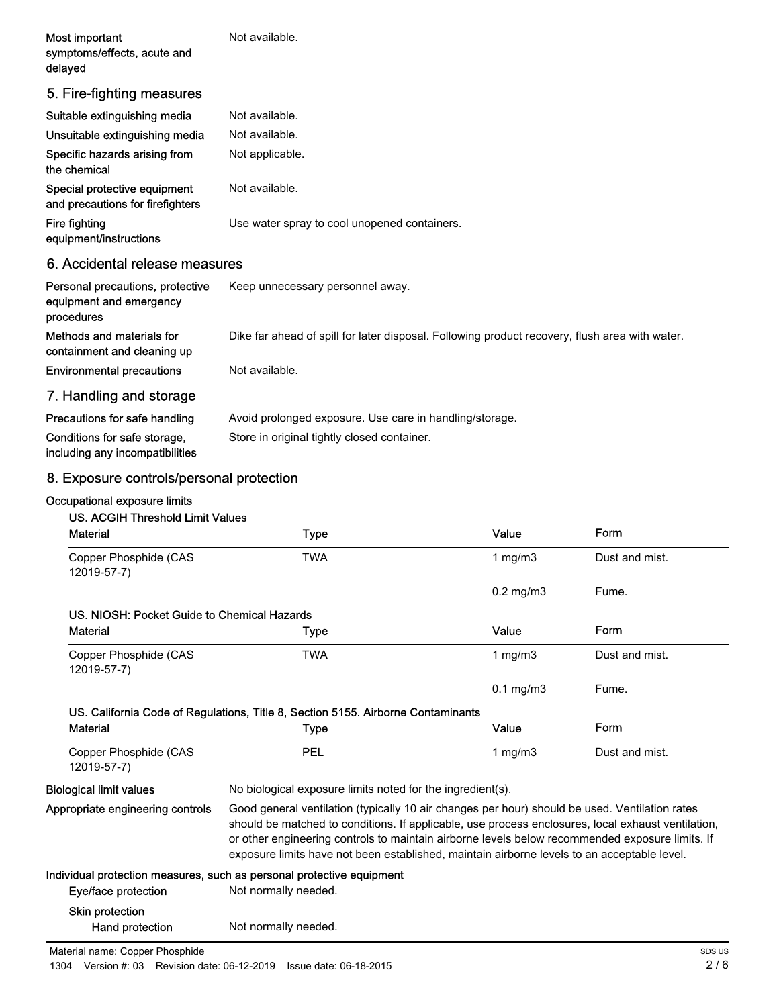| Most important<br>symptoms/effects, acute and<br>delayed         | Not available.                               |
|------------------------------------------------------------------|----------------------------------------------|
| 5. Fire-fighting measures                                        |                                              |
| Suitable extinguishing media                                     | Not available.                               |
| Unsuitable extinguishing media                                   | Not available.                               |
| Specific hazards arising from<br>the chemical                    | Not applicable.                              |
| Special protective equipment<br>and precautions for firefighters | Not available.                               |
| Fire fighting                                                    | Use water spray to cool unopened containers. |

equipment/instructions

#### 6. Accidental release measures

| Personal precautions, protective<br>equipment and emergency<br>procedures | Keep unnecessary personnel away.                                                               |
|---------------------------------------------------------------------------|------------------------------------------------------------------------------------------------|
| Methods and materials for<br>containment and cleaning up                  | Dike far ahead of spill for later disposal. Following product recovery, flush area with water. |
| <b>Environmental precautions</b>                                          | Not available.                                                                                 |
| 7. Handling and storage                                                   |                                                                                                |
| Precautions for safe handling                                             | Avoid prolonged exposure. Use care in handling/storage.                                        |

Conditions for safe storage, Store in original tightly closed container. including any incompatibilities

## 8. Exposure controls/personal protection

#### Occupational exposure limits

#### US. ACGIH Threshold Limit Values

| <b>Material</b>                             | <b>Type</b>                                                                                                                                                                                                                                                                                                                                                                                            | Value          | Form           |
|---------------------------------------------|--------------------------------------------------------------------------------------------------------------------------------------------------------------------------------------------------------------------------------------------------------------------------------------------------------------------------------------------------------------------------------------------------------|----------------|----------------|
| Copper Phosphide (CAS<br>12019-57-7)        | <b>TWA</b>                                                                                                                                                                                                                                                                                                                                                                                             | 1 $mg/m3$      | Dust and mist. |
|                                             |                                                                                                                                                                                                                                                                                                                                                                                                        | $0.2$ mg/m $3$ | Fume.          |
| US. NIOSH: Pocket Guide to Chemical Hazards |                                                                                                                                                                                                                                                                                                                                                                                                        |                |                |
| <b>Material</b>                             | Type                                                                                                                                                                                                                                                                                                                                                                                                   | Value          | Form           |
| Copper Phosphide (CAS<br>12019-57-7)        | <b>TWA</b>                                                                                                                                                                                                                                                                                                                                                                                             | 1 $mg/m3$      | Dust and mist. |
|                                             |                                                                                                                                                                                                                                                                                                                                                                                                        | $0.1$ mg/m $3$ | Fume.          |
|                                             | US. California Code of Regulations, Title 8, Section 5155. Airborne Contaminants                                                                                                                                                                                                                                                                                                                       |                |                |
| <b>Material</b>                             | Type                                                                                                                                                                                                                                                                                                                                                                                                   | Value          | Form           |
| Copper Phosphide (CAS<br>12019-57-7)        | PEL                                                                                                                                                                                                                                                                                                                                                                                                    | 1 $mg/m3$      | Dust and mist. |
| <b>Biological limit values</b>              | No biological exposure limits noted for the ingredient(s).                                                                                                                                                                                                                                                                                                                                             |                |                |
| Appropriate engineering controls            | Good general ventilation (typically 10 air changes per hour) should be used. Ventilation rates<br>should be matched to conditions. If applicable, use process enclosures, local exhaust ventilation,<br>or other engineering controls to maintain airborne levels below recommended exposure limits. If<br>exposure limits have not been established, maintain airborne levels to an acceptable level. |                |                |
|                                             | Individual protection measures, such as personal protective equipment                                                                                                                                                                                                                                                                                                                                  |                |                |
| Eye/face protection                         | Not normally needed.                                                                                                                                                                                                                                                                                                                                                                                   |                |                |
| <b>Skin protection</b>                      |                                                                                                                                                                                                                                                                                                                                                                                                        |                |                |
| Hand protection                             | Not normally needed.                                                                                                                                                                                                                                                                                                                                                                                   |                |                |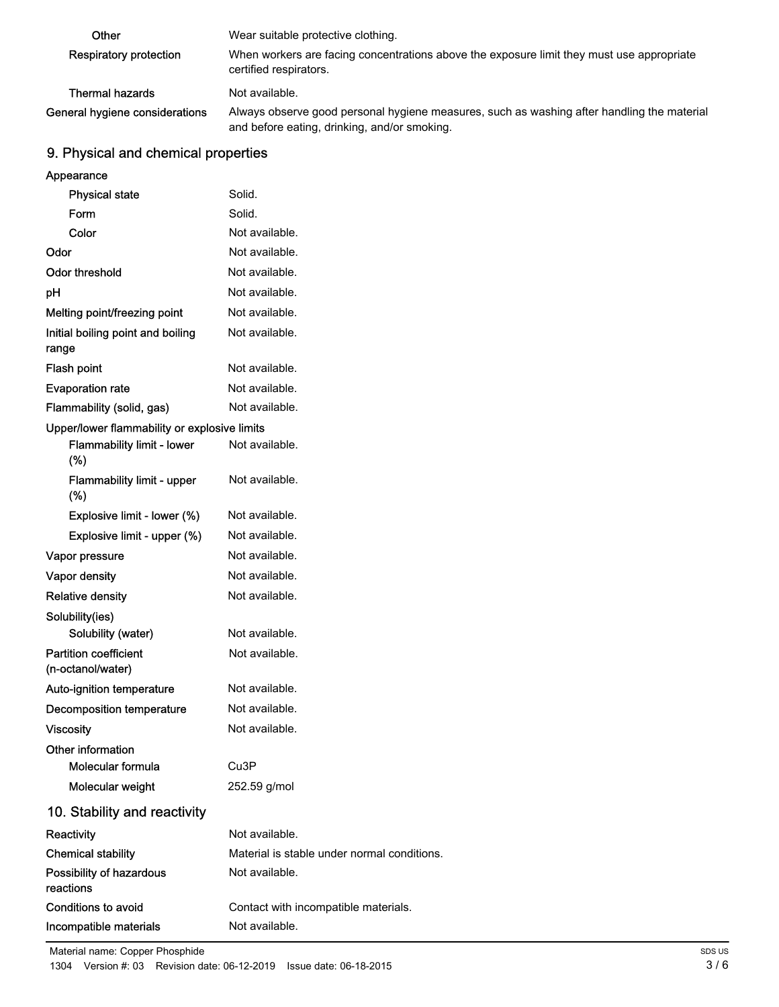| Other                          | Wear suitable protective clothing.                                                                                                         |
|--------------------------------|--------------------------------------------------------------------------------------------------------------------------------------------|
| Respiratory protection         | When workers are facing concentrations above the exposure limit they must use appropriate<br>certified respirators.                        |
| Thermal hazards                | Not available.                                                                                                                             |
| General hygiene considerations | Always observe good personal hygiene measures, such as washing after handling the material<br>and before eating, drinking, and/or smoking. |

## 9. Physical and chemical properties

| Appearance                                        |                                             |
|---------------------------------------------------|---------------------------------------------|
| <b>Physical state</b>                             | Solid.                                      |
| Form                                              | Solid.                                      |
| Color                                             | Not available.                              |
| Odor                                              | Not available.                              |
| <b>Odor threshold</b>                             | Not available.                              |
| рH                                                | Not available.                              |
| Melting point/freezing point                      | Not available.                              |
| Initial boiling point and boiling<br>range        | Not available.                              |
| Flash point                                       | Not available.                              |
| <b>Evaporation rate</b>                           | Not available.                              |
| Flammability (solid, gas)                         | Not available.                              |
| Upper/lower flammability or explosive limits      |                                             |
| <b>Flammability limit - lower</b><br>(%)          | Not available.                              |
| Flammability limit - upper<br>$(\%)$              | Not available.                              |
| Explosive limit - lower (%)                       | Not available.                              |
| Explosive limit - upper (%)                       | Not available.                              |
| Vapor pressure                                    | Not available.                              |
| <b>Vapor density</b>                              | Not available.                              |
| <b>Relative density</b>                           | Not available.                              |
| Solubility(ies)                                   |                                             |
| Solubility (water)                                | Not available.                              |
| <b>Partition coefficient</b><br>(n-octanol/water) | Not available.                              |
| Auto-ignition temperature                         | Not available.                              |
| <b>Decomposition temperature</b>                  | Not available.                              |
| <b>Viscosity</b>                                  | Not available.                              |
| Other information                                 |                                             |
| Molecular formula                                 | Cu3P                                        |
| Molecular weight                                  | 252.59 g/mol                                |
| 10. Stability and reactivity                      |                                             |
| Reactivity                                        | Not available.                              |
| <b>Chemical stability</b>                         | Material is stable under normal conditions. |
| Possibility of hazardous<br>reactions             | Not available.                              |
| Conditions to avoid                               | Contact with incompatible materials.        |
| Incompatible materials                            | Not available.                              |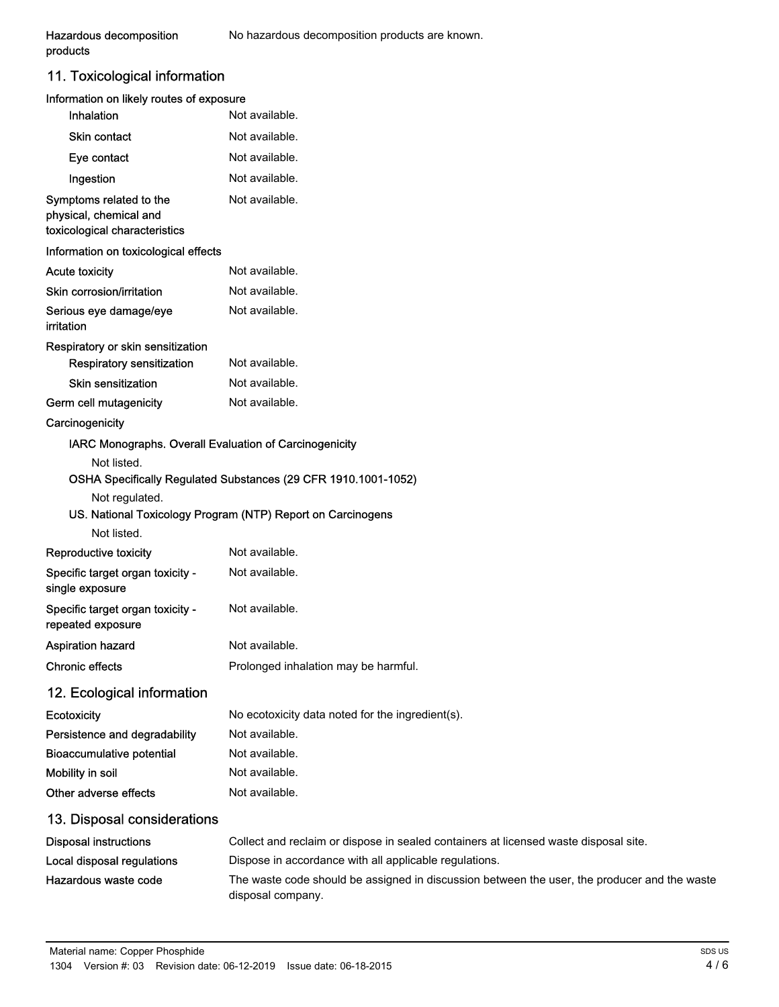products

## 11. Toxicological information

| Information on likely routes of exposure                                                |                                                                                                                               |
|-----------------------------------------------------------------------------------------|-------------------------------------------------------------------------------------------------------------------------------|
| Inhalation                                                                              | Not available.                                                                                                                |
| <b>Skin contact</b>                                                                     | Not available.                                                                                                                |
| Eye contact                                                                             | Not available.                                                                                                                |
| Ingestion                                                                               | Not available.                                                                                                                |
| Symptoms related to the<br>physical, chemical and<br>toxicological characteristics      | Not available.                                                                                                                |
| Information on toxicological effects                                                    |                                                                                                                               |
| <b>Acute toxicity</b>                                                                   | Not available.                                                                                                                |
| Skin corrosion/irritation                                                               | Not available.                                                                                                                |
| Serious eye damage/eye<br>irritation                                                    | Not available.                                                                                                                |
| Respiratory or skin sensitization<br><b>Respiratory sensitization</b>                   | Not available.                                                                                                                |
| <b>Skin sensitization</b>                                                               | Not available.                                                                                                                |
| Germ cell mutagenicity                                                                  | Not available.                                                                                                                |
| Carcinogenicity                                                                         |                                                                                                                               |
| IARC Monographs. Overall Evaluation of Carcinogenicity<br>Not listed.<br>Not regulated. | OSHA Specifically Regulated Substances (29 CFR 1910.1001-1052)<br>US. National Toxicology Program (NTP) Report on Carcinogens |
| Not listed.                                                                             |                                                                                                                               |
| Reproductive toxicity                                                                   | Not available.                                                                                                                |
| Specific target organ toxicity -<br>single exposure                                     | Not available.                                                                                                                |
| Specific target organ toxicity -<br>repeated exposure                                   | Not available.                                                                                                                |
| <b>Aspiration hazard</b>                                                                | Not available.                                                                                                                |
| <b>Chronic effects</b>                                                                  | Prolonged inhalation may be harmful.                                                                                          |
| 12. Ecological information                                                              |                                                                                                                               |
| Ecotoxicity                                                                             | No ecotoxicity data noted for the ingredient(s).                                                                              |
| Persistence and degradability                                                           | Not available.                                                                                                                |
| <b>Bioaccumulative potential</b>                                                        | Not available.                                                                                                                |
| Mobility in soil                                                                        | Not available.                                                                                                                |
| Other adverse effects                                                                   | Not available.                                                                                                                |
| 13. Disposal considerations                                                             |                                                                                                                               |
| <b>Disposal instructions</b>                                                            | Collect and reclaim or dispose in sealed containers at licensed waste disposal site.                                          |
| Local disposal regulations                                                              | Dispose in accordance with all applicable regulations.                                                                        |
| Hazardous waste code                                                                    | The waste code should be assigned in discussion between the user, the producer and the waste                                  |

disposal company.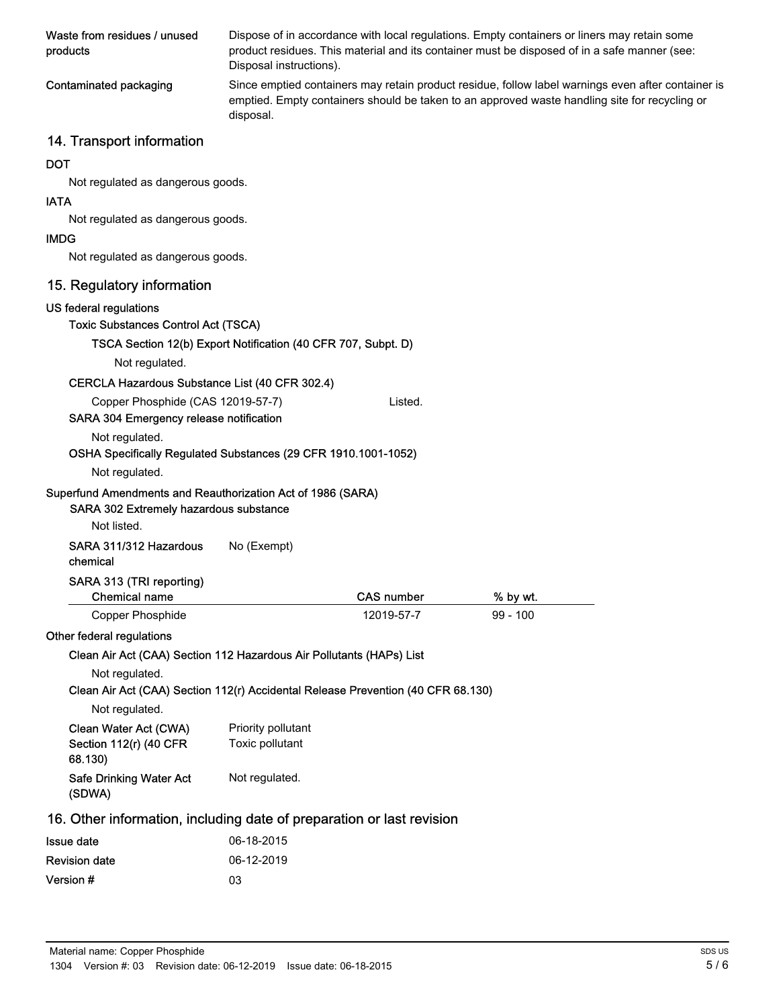| Waste from residues / unused<br>products | Dispose of in accordance with local regulations. Empty containers or liners may retain some<br>product residues. This material and its container must be disposed of in a safe manner (see:<br>Disposal instructions). |
|------------------------------------------|------------------------------------------------------------------------------------------------------------------------------------------------------------------------------------------------------------------------|
| Contaminated packaging                   | Since emptied containers may retain product residue, follow label warnings even after container is<br>emptied. Empty containers should be taken to an approved waste handling site for recycling or<br>disposal.       |

# 14. Transport information

#### **DOT**

Not regulated as dangerous goods.

#### IATA

Not regulated as dangerous goods.

#### IMDG

Not regulated as dangerous goods.

### 15. Regulatory information

| <b>10. Regulatury Information</b>                                                                                    |                    |                   |            |  |
|----------------------------------------------------------------------------------------------------------------------|--------------------|-------------------|------------|--|
| US federal regulations                                                                                               |                    |                   |            |  |
| <b>Toxic Substances Control Act (TSCA)</b>                                                                           |                    |                   |            |  |
| TSCA Section 12(b) Export Notification (40 CFR 707, Subpt. D)                                                        |                    |                   |            |  |
| Not regulated.                                                                                                       |                    |                   |            |  |
| CERCLA Hazardous Substance List (40 CFR 302.4)                                                                       |                    |                   |            |  |
| Copper Phosphide (CAS 12019-57-7)<br>Listed.                                                                         |                    |                   |            |  |
| SARA 304 Emergency release notification                                                                              |                    |                   |            |  |
| Not regulated.                                                                                                       |                    |                   |            |  |
| OSHA Specifically Regulated Substances (29 CFR 1910.1001-1052)                                                       |                    |                   |            |  |
| Not regulated.                                                                                                       |                    |                   |            |  |
| Superfund Amendments and Reauthorization Act of 1986 (SARA)<br>SARA 302 Extremely hazardous substance<br>Not listed. |                    |                   |            |  |
| SARA 311/312 Hazardous<br>chemical                                                                                   | No (Exempt)        |                   |            |  |
| SARA 313 (TRI reporting)<br><b>Chemical name</b>                                                                     |                    | <b>CAS number</b> | % by wt.   |  |
| <b>Copper Phosphide</b>                                                                                              |                    | 12019-57-7        | $99 - 100$ |  |
| Other federal regulations                                                                                            |                    |                   |            |  |
| Clean Air Act (CAA) Section 112 Hazardous Air Pollutants (HAPs) List                                                 |                    |                   |            |  |
| Not regulated.                                                                                                       |                    |                   |            |  |
| Clean Air Act (CAA) Section 112(r) Accidental Release Prevention (40 CFR 68.130)                                     |                    |                   |            |  |
| Not regulated.                                                                                                       |                    |                   |            |  |
| Clean Water Act (CWA)                                                                                                | Priority pollutant |                   |            |  |
| Section 112(r) (40 CFR<br>68.130)                                                                                    | Toxic pollutant    |                   |            |  |
| <b>Safe Drinking Water Act</b><br>(SDWA)                                                                             | Not regulated.     |                   |            |  |
| 16. Other information, including date of preparation or last revision                                                |                    |                   |            |  |
| <b>Issue date</b>                                                                                                    | 06-18-2015         |                   |            |  |
| <b>Revision date</b>                                                                                                 | 06-12-2019         |                   |            |  |

| Material name: Copper Phosphide |  |
|---------------------------------|--|

Version # 03